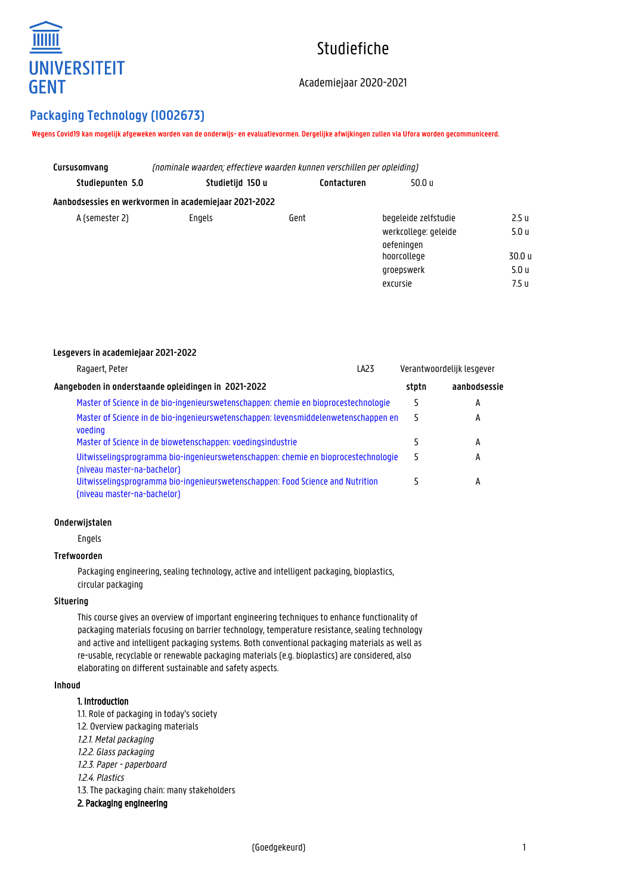

# Studiefiche

# Academiejaar 2020-2021

# **Packaging Technology (I002673)**

**Lesgevers in academiejaar 2021-2022**

**Wegens Covid19 kan mogelijk afgeweken worden van de onderwijs- en evaluatievormen. Dergelijke afwijkingen zullen via Ufora worden gecommuniceerd.**

| Cursusomvang     | (nominale waarden: effectieve waarden kunnen verschillen per opleiding) |             |                                    |                  |  |
|------------------|-------------------------------------------------------------------------|-------------|------------------------------------|------------------|--|
| Studiepunten 5.0 | Studietijd 150 u                                                        | Contacturen | 50.0 u                             |                  |  |
|                  | Aanbodsessies en werkvormen in academiejaar 2021-2022                   |             |                                    |                  |  |
| A (semester 2)   | Engels                                                                  | Gent        | begeleide zelfstudie               | 2.5 u            |  |
|                  |                                                                         |             | werkcollege: geleide<br>oefeningen | 5.0 <sub>u</sub> |  |
|                  |                                                                         |             | hoorcollege                        | 30.0 u           |  |
|                  |                                                                         |             | groepswerk                         | 5.0 u            |  |
|                  |                                                                         |             | excursie                           | 7.5 u            |  |

| Ragaert, Peter                                                                                                    | LA <sub>23</sub> |       | Verantwoordelijk lesgever |
|-------------------------------------------------------------------------------------------------------------------|------------------|-------|---------------------------|
| Aangeboden in onderstaande opleidingen in 2021-2022                                                               |                  | stptn | aanbodsessie              |
| Master of Science in de bio-ingenieurswetenschappen: chemie en bioprocestechnologie                               |                  | 5     | А                         |
| Master of Science in de bio-ingenieurswetenschappen: levensmiddelenwetenschappen en<br>voeding                    |                  | 5     | А                         |
| Master of Science in de biowetenschappen: voedingsindustrie                                                       |                  |       | A                         |
| Uitwisselingsprogramma bio-ingenieurswetenschappen: chemie en bioprocestechnologie<br>(niveau master-na-bachelor) |                  | 5     | A                         |
| Uitwisselingsprogramma bio-ingenieurswetenschappen: Food Science and Nutrition<br>(niveau master-na-bachelor)     |                  |       | А                         |

#### **Onderwijstalen**

Engels

### **Trefwoorden**

Packaging engineering, sealing technology, active and intelligent packaging, bioplastics, circular packaging

#### **Situering**

This course gives an overview of important engineering techniques to enhance functionality of packaging materials focusing on barrier technology, temperature resistance, sealing technology and active and intelligent packaging systems. Both conventional packaging materials as well as re-usable, recyclable or renewable packaging materials (e.g. bioplastics) are considered, also elaborating on different sustainable and safety aspects.

#### **Inhoud**

#### 1. Introduction

1.1. Role of packaging in today's society 1.2. Overview packaging materials 1.2.1. Metal packaging 1.2.2. Glass packaging 1.2.3. Paper - paperboard 1.2.4. Plastics 1.3. The packaging chain: many stakeholders 2. Packaging engineering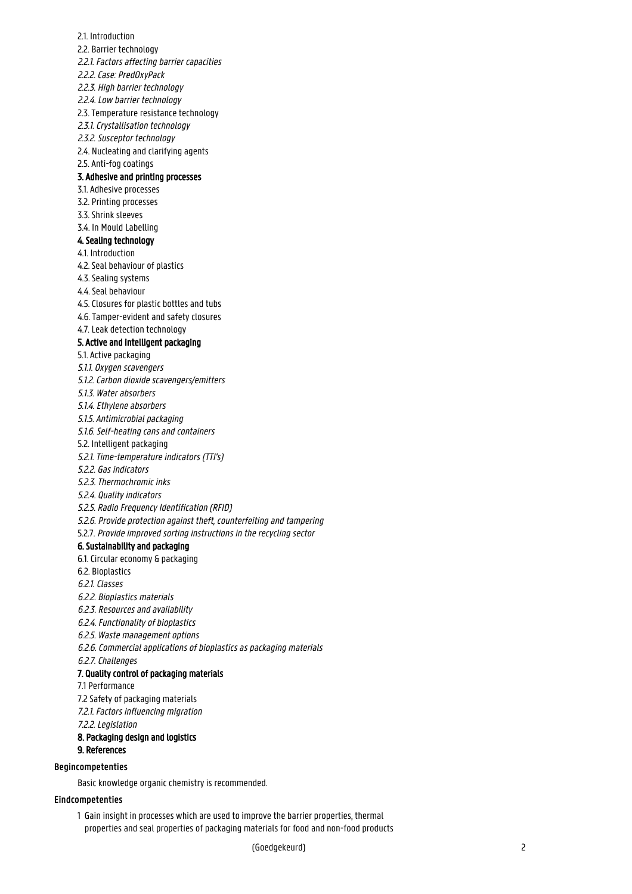2.1. Introduction 2.2. Barrier technology 2.2.1. Factors affecting barrier capacities 2.2.2. Case: PredOxyPack 2.2.3. High barrier technology 2.2.4. Low barrier technology 2.3. Temperature resistance technology 2.3.1. Crystallisation technology 2.3.2. Susceptor technology 2.4. Nucleating and clarifying agents 2.5. Anti-fog coatings 3. Adhesive and printing processes 3.1. Adhesive processes 3.2. Printing processes 3.3. Shrink sleeves 3.4. In Mould Labelling 4. Sealing technology 4.1. Introduction 4.2. Seal behaviour of plastics 4.3. Sealing systems 4.4. Seal behaviour 4.5. Closures for plastic bottles and tubs 4.6. Tamper-evident and safety closures 4.7. Leak detection technology 5. Active and intelligent packaging 5.1. Active packaging 5.1.1. Oxygen scavengers 5.1.2. Carbon dioxide scavengers/emitters 5.1.3. Water absorbers 5.1.4. Ethylene absorbers 5.1.5. Antimicrobial packaging 5.1.6. Self-heating cans and containers 5.2. Intelligent packaging 5.2.1. Time-temperature indicators (TTI's) 5.2.2. Gas indicators 5.2.3. Thermochromic inks 5.2.4. Quality indicators 5.2.5. Radio Frequency Identification (RFID) 5.2.6. Provide protection against theft, counterfeiting and tampering 5.2.7. Provide improved sorting instructions in the recycling sector 6. Sustainability and packaging 6.1. Circular economy & packaging 6.2. Bioplastics 6.2.1. Classes 6.2.2. Bioplastics materials 6.2.3. Resources and availability 6.2.4. Functionality of bioplastics 6.2.5. Waste management options 6.2.6. Commercial applications of bioplastics as packaging materials 6.2.7. Challenges 7. Quality control of packaging materials 7.1 Performance 7.2 Safety of packaging materials 7.2.1. Factors influencing migration 7.2.2. Legislation 8. Packaging design and logistics 9. References Basic knowledge organic chemistry is recommended. **Begincompetenties**

#### **Eindcompetenties**

1 Gain insight in processes which are used to improve the barrier properties, thermal properties and seal properties of packaging materials for food and non-food products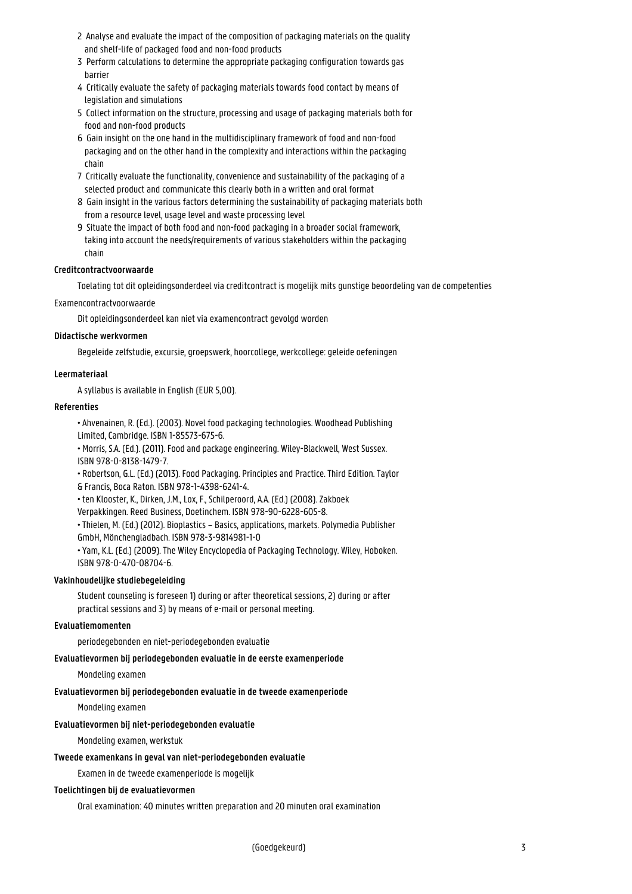- 2 Analyse and evaluate the impact of the composition of packaging materials on the quality and shelf-life of packaged food and non-food products
- 3 Perform calculations to determine the appropriate packaging configuration towards gas **barrier**
- 4 Critically evaluate the safety of packaging materials towards food contact by means of legislation and simulations
- 5 Collect information on the structure, processing and usage of packaging materials both for food and non-food products
- 6 Gain insight on the one hand in the multidisciplinary framework of food and non-food packaging and on the other hand in the complexity and interactions within the packaging 1 chain
- 7 Critically evaluate the functionality, convenience and sustainability of the packaging of a selected product and communicate this clearly both in a written and oral format
- 8 Gain insight in the various factors determining the sustainability of packaging materials both from a resource level, usage level and waste processing level
- 9 Situate the impact of both food and non-food packaging in a broader social framework, taking into account the needs/requirements of various stakeholders within the packaging 1 chain

#### **Creditcontractvoorwaarde**

Toelating tot dit opleidingsonderdeel via creditcontract is mogelijk mits gunstige beoordeling van de competenties

Examencontractvoorwaarde

Dit opleidingsonderdeel kan niet via examencontract gevolgd worden

#### **Didactische werkvormen**

Begeleide zelfstudie, excursie, groepswerk, hoorcollege, werkcollege: geleide oefeningen

#### **Leermateriaal**

A syllabus is available in English (EUR 5,00).

#### **Referenties**

• Ahvenainen, R. (Ed.). (2003). Novel food packaging technologies. Woodhead Publishing Limited, Cambridge. ISBN 1-85573-675-6.

• Morris, S.A. (Ed.). (2011). Food and package engineering. Wiley-Blackwell, West Sussex. ISBN 978-0-8138-1479-7.

• Robertson, G.L. (Ed.) (2013). Food Packaging. Principles and Practice. Third Edition. Taylor & Francis, Boca Raton. ISBN 978-1-4398-6241-4.

• ten Klooster, K., Dirken, J.M., Lox, F., Schilperoord, A.A. (Ed.) (2008). Zakboek

Verpakkingen. Reed Business, Doetinchem. ISBN 978-90-6228-605-8.

• Thielen, M. (Ed.) (2012). Bioplastics – Basics, applications, markets. Polymedia Publisher GmbH, Mönchengladbach. ISBN 978-3-9814981-1-0

• Yam, K.L. (Ed.) (2009). The Wiley Encyclopedia of Packaging Technology. Wiley, Hoboken. ISBN 978-0-470-08704-6.

#### **Vakinhoudelijke studiebegeleiding**

Student counseling is foreseen 1) during or after theoretical sessions, 2) during or after practical sessions and 3) by means of e-mail or personal meeting.

#### **Evaluatiemomenten**

periodegebonden en niet-periodegebonden evaluatie

#### **Evaluatievormen bij periodegebonden evaluatie in de eerste examenperiode**

Mondeling examen

# **Evaluatievormen bij periodegebonden evaluatie in de tweede examenperiode**

Mondeling examen

# **Evaluatievormen bij niet-periodegebonden evaluatie**

Mondeling examen, werkstuk

# **Tweede examenkans in geval van niet-periodegebonden evaluatie**

Examen in de tweede examenperiode is mogelijk

# **Toelichtingen bij de evaluatievormen**

Oral examination: 40 minutes written preparation and 20 minuten oral examination